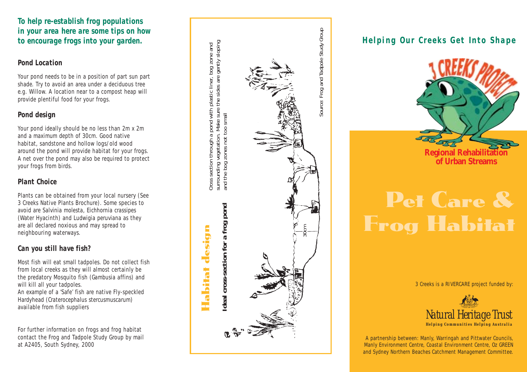## *To help re-establish frog populations in your area here are some tips on how to encourage frogs into your garden.*

#### *Pond Location*

Your pond needs to be in a position of part sun part shade. Try to avoid an area under a deciduous tree e.g. Willow. A location near to a compost heap will provide plentiful food for your frogs.

## *Pond design*

Your pond ideally should be no less than 2m x 2m and a maximum depth of 30cm. Good native habitat, sandstone and hollow logs/old wood around the pond will provide habitat for your frogs. A net over the pond may also be required to protect your frogs from birds.

## *Plant Choice*

Plants can be obtained from your local nursery (See 3 Creeks Native Plants Brochure). Some species to avoid are *Salvinia molesta*, *Eichhornia crassipes* (Water Hyacinth) and *Ludwigia peruviana* as they are all declared noxious and may spread to ne ighbouring waterways.

## *Can you still have fish?*

Most fish will eat small tadpoles. Do not collect fish from local creeks as they will almost certainly be the predatory Mosquito fish (*Gambusia affins*) and will kill all your tadpoles. An example of a 'Safe' fish are native Fly-speckled Hardyhead (*Craterocephalus stercusmuscarum*) available from fish suppliers

For further information on frogs and frog habitat contact the Frog and Tadpole Study Group by mail at A2405, South Sydney, 2000



## *Helping Our Creeks Get Into Shape*



# Pet Care & Frog Habitat

3 Creeks is a RIVERCARE project funded by:



A partnership between: Manly, Warringah and Pittwater Councils, Manly Environment Centre, Coastal Environment Centre, Oz GREEN and Sydney Northern Beaches Catchment Management Committee.